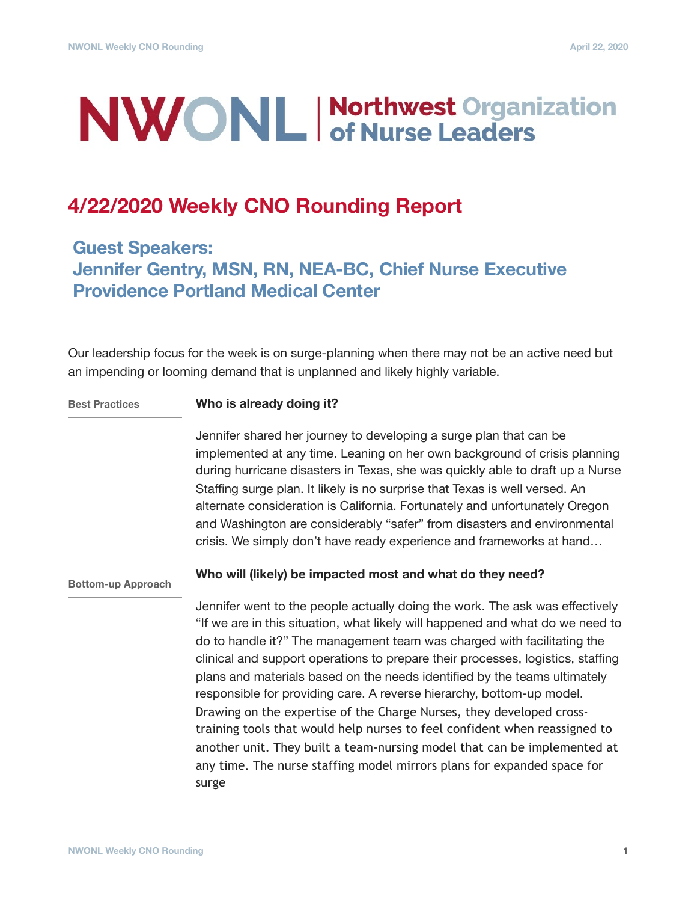# **NWONL Morthwest Organization**

# **4/22/2020 Weekly CNO Rounding Report**

## **Guest Speakers: Jennifer Gentry, MSN, RN, NEA-BC, Chief Nurse Executive Providence Portland Medical Center**

Our leadership focus for the week is on surge-planning when there may not be an active need but an impending or looming demand that is unplanned and likely highly variable.

**Best Practices**

### **Who is already doing it?**

Jennifer shared her journey to developing a surge plan that can be implemented at any time. Leaning on her own background of crisis planning during hurricane disasters in Texas, she was quickly able to draft up a Nurse Staffing surge plan. It likely is no surprise that Texas is well versed. An alternate consideration is California. Fortunately and unfortunately Oregon and Washington are considerably "safer" from disasters and environmental crisis. We simply don't have ready experience and frameworks at hand…

**Bottom-up Approach**

## **Who will (likely) be impacted most and what do they need?**

Jennifer went to the people actually doing the work. The ask was effectively "If we are in this situation, what likely will happened and what do we need to do to handle it?" The management team was charged with facilitating the clinical and support operations to prepare their processes, logistics, staffing plans and materials based on the needs identified by the teams ultimately responsible for providing care. A reverse hierarchy, bottom-up model. Drawing on the expertise of the Charge Nurses, they developed crosstraining tools that would help nurses to feel confident when reassigned to another unit. They built a team-nursing model that can be implemented at any time. The nurse staffing model mirrors plans for expanded space for surge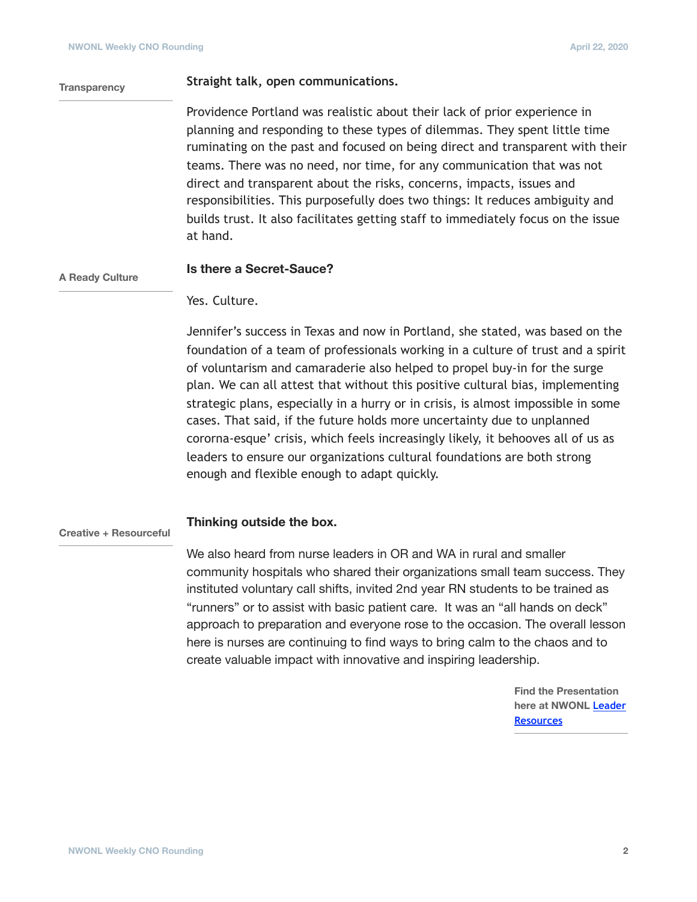### **Straight talk, open communications.**

Providence Portland was realistic about their lack of prior experience in planning and responding to these types of dilemmas. They spent little time ruminating on the past and focused on being direct and transparent with their teams. There was no need, nor time, for any communication that was not direct and transparent about the risks, concerns, impacts, issues and responsibilities. This purposefully does two things: It reduces ambiguity and builds trust. It also facilitates getting staff to immediately focus on the issue at hand.

#### **A Ready Culture**

**Transparency**

## **Is there a Secret-Sauce?**

Yes. Culture.

Jennifer's success in Texas and now in Portland, she stated, was based on the foundation of a team of professionals working in a culture of trust and a spirit of voluntarism and camaraderie also helped to propel buy-in for the surge plan. We can all attest that without this positive cultural bias, implementing strategic plans, especially in a hurry or in crisis, is almost impossible in some cases. That said, if the future holds more uncertainty due to unplanned cororna-esque' crisis, which feels increasingly likely, it behooves all of us as leaders to ensure our organizations cultural foundations are both strong enough and flexible enough to adapt quickly.

#### **Thinking outside the box. Creative + Resourceful**

We also heard from nurse leaders in OR and WA in rural and smaller community hospitals who shared their organizations small team success. They instituted voluntary call shifts, invited 2nd year RN students to be trained as "runners" or to assist with basic patient care. It was an "all hands on deck" approach to preparation and everyone rose to the occasion. The overall lesson here is nurses are continuing to find ways to bring calm to the chaos and to create valuable impact with innovative and inspiring leadership.

> **Find the Presentation here at NWONL [Leader](https://www.nwonl.org/docs/NWONL_Surge_Preparation_4.22.20.pdf)  [Resources](https://www.nwonl.org/docs/NWONL_Surge_Preparation_4.22.20.pdf)**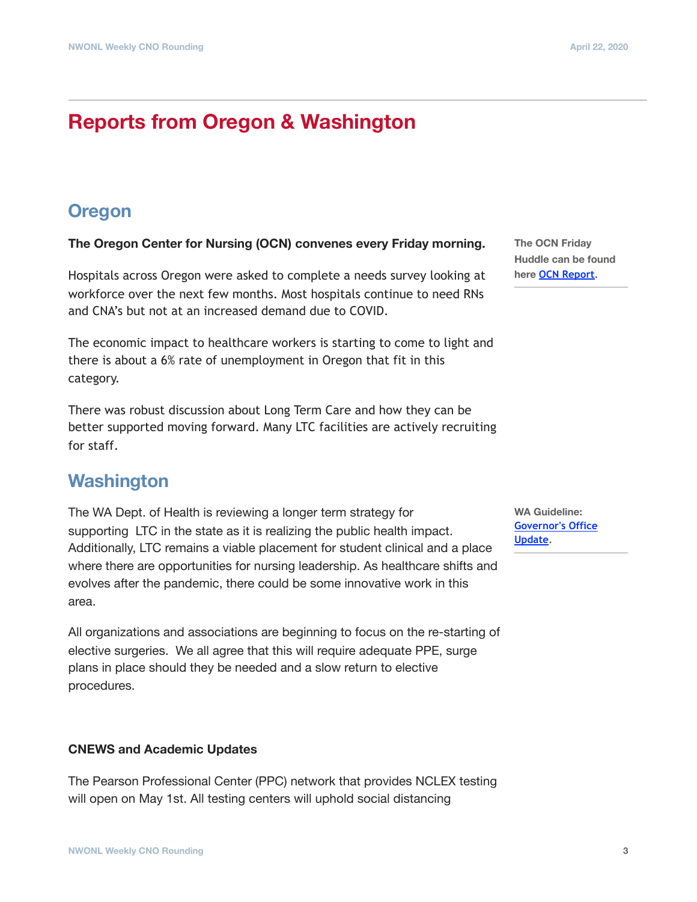# **Reports from Oregon & Washington**

## **Oregon**

**The Oregon Center for Nursing (OCN) convenes every Friday morning.**

Hospitals across Oregon were asked to complete a needs survey looking at workforce over the next few months. Most hospitals continue to need RNs and CNA's but not at an increased demand due to COVID.

The economic impact to healthcare workers is starting to come to light and there is about a 6% rate of unemployment in Oregon that fit in this category.

There was robust discussion about Long Term Care and how they can be better supported moving forward. Many LTC facilities are actively recruiting for staff.

## **Washington**

The WA Dept. of Health is reviewing a longer term strategy for supporting LTC in the state as it is realizing the public health impact. Additionally, LTC remains a viable placement for student clinical and a place where there are opportunities for nursing leadership. As healthcare shifts and evolves after the pandemic, there could be some innovative work in this area.

All organizations and associations are beginning to focus on the re-starting of elective surgeries. We all agree that this will require adequate PPE, surge plans in place should they be needed and a slow return to elective procedures.

## **CNEWS and Academic Updates**

The Pearson Professional Center (PPC) network that provides NCLEX testing will open on May 1st. All testing centers will uphold social distancing

**The OCN Friday Huddle can be found here [OCN Report](https://oregoncenterfornursing.org/wp-content/uploads/2020/04/4.17-OCN-Friday-Huddle-Summary.pdf).** 

**WA Guideline: [Governor's Office](https://medium.com/wagovernor)  [Update](https://medium.com/wagovernor).**